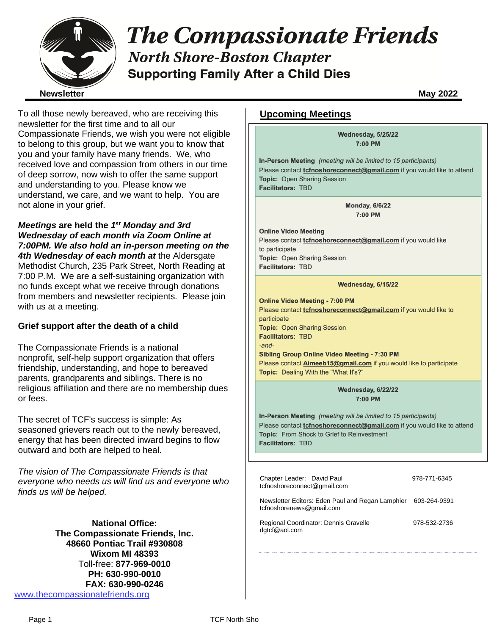

# **The Compassionate Friends North Shore-Boston Chapter Supporting Family After a Child Dies**

To all those newly bereaved, who are receiving this newsletter for the first time and to all our Compassionate Friends, we wish you were not eligible to belong to this group, but we want you to know that you and your family have many friends. We, who received love and compassion from others in our time of deep sorrow, now wish to offer the same support and understanding to you. Please know we understand, we care, and we want to help. You are not alone in your grief.

*Meetings* **are held the** *1 st Monday and 3rd Wednesday of each month via Zoom Online at 7:00PM. We also hold an in-person meeting on the 4th Wednesday of each month at* the Aldersgate Methodist Church, 235 Park Street, North Reading at 7:00 P.M. We are a self-sustaining organization with no funds except what we receive through donations from members and newsletter recipients. Please join with us at a meeting.

## **Grief support after the death of a child**

The Compassionate Friends is a national nonprofit, self-help support organization that offers friendship, understanding, and hope to bereaved parents, grandparents and siblings. There is no religious affiliation and there are no membership dues or fees.

The secret of TCF's success is simple: As seasoned grievers reach out to the newly bereaved, energy that has been directed inward begins to flow outward and both are helped to heal.

*The vision of The Compassionate Friends is that everyone who needs us will find us and everyone who finds us will be helped.*

**National Office: The Compassionate Friends, Inc. 48660 Pontiac Trail #930808 Wixom MI 48393** Toll-free: **877-969-0010 PH: 630-990-0010 FAX: 630-990-0246** [www.thecompassionatefriends.org](http://www.thecompassionatefriends.org/)

## **Upcoming Meetings**

Wednesday, 5/25/22 7:00 PM

In-Person Meeting (meeting will be limited to 15 participants) Please contact *tcfnoshoreconnect@gmail.com* if you would like to attend **Topic: Open Sharing Session Facilitators: TBD** 

> **Monday, 6/6/22** 7:00 PM

**Online Video Meeting** Please contact *tcfnoshoreconnect@gmail.com* if you would like to participate Topic: Open Sharing Session Facilitators: TBD

## Wednesday, 6/15/22

**Online Video Meeting - 7:00 PM** Please contact *tcfnoshoreconnect@gmail.com* if you would like to participate **Topic: Open Sharing Session Facilitators: TBD** -and-**Sibling Group Online Video Meeting - 7:30 PM** Please contact Aimeeb15@gmail.com if you would like to participate Topic: Dealing With the "What If's?"

### Wednesday, 6/22/22 7:00 PM

In-Person Meeting (meeting will be limited to 15 participants) Please contact *tcfnoshoreconnect@gmail.com* if you would like to attend **Topic:** From Shock to Grief to Reinvestment **Facilitators: TBD** 

Chapter Leader: David Paul 11 120 120 13 13 14 15 16 16 178-771-6345 tcfnoshoreconnect@gmail.com Newsletter Editors: Eden Paul and Regan Lamphier 603-264-9391 tcfnoshorenews@gmail.com Regional Coordinator: Dennis Gravelle 978-532-2736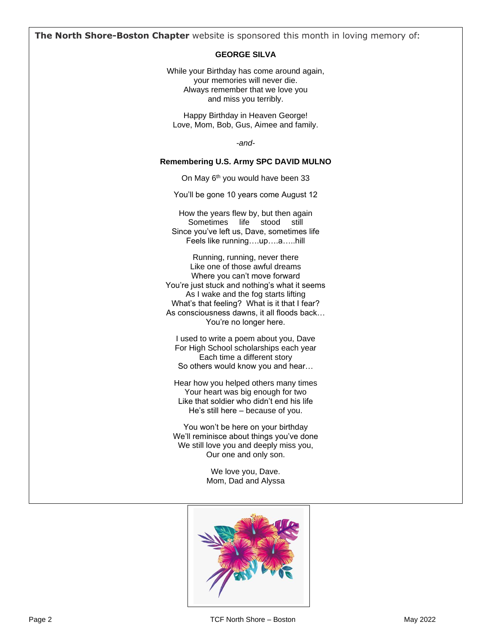**The North Shore-Boston Chapter** website is sponsored this month in loving memory of:

### **GEORGE SILVA**

While your Birthday has come around again, your memories will never die. Always remember that we love you and miss you terribly.

Happy Birthday in Heaven George! Love, Mom, Bob, Gus, Aimee and family.

*-and-*

### **Remembering U.S. Army SPC DAVID MULNO**

On May 6<sup>th</sup> you would have been 33

You'll be gone 10 years come August 12

How the years flew by, but then again Sometimes life stood still Since you've left us, Dave, sometimes life Feels like running….up….a…..hill

Running, running, never there Like one of those awful dreams Where you can't move forward You're just stuck and nothing's what it seems As I wake and the fog starts lifting What's that feeling? What is it that I fear? As consciousness dawns, it all floods back… You're no longer here.

I used to write a poem about you, Dave For High School scholarships each year Each time a different story So others would know you and hear…

Hear how you helped others many times Your heart was big enough for two Like that soldier who didn't end his life He's still here – because of you.

You won't be here on your birthday We'll reminisce about things you've done We still love you and deeply miss you, Our one and only son.

> We love you, Dave. Mom, Dad and Alyssa

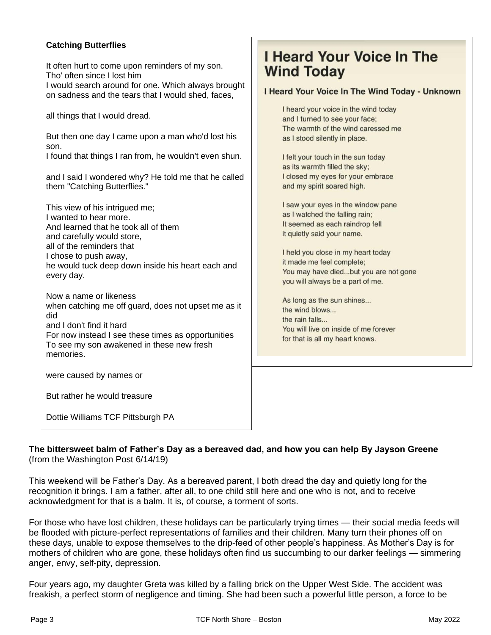## **Catching Butterflies**

| It often hurt to come upon reminders of my son.<br>Tho' often since I lost him<br>I would search around for one. Which always brought                                                                                                                   | <u>l Heard Your Voice in The </u><br><b>Wind Today</b>                                                                                                                                                                                                                                |
|---------------------------------------------------------------------------------------------------------------------------------------------------------------------------------------------------------------------------------------------------------|---------------------------------------------------------------------------------------------------------------------------------------------------------------------------------------------------------------------------------------------------------------------------------------|
| on sadness and the tears that I would shed, faces,<br>all things that I would dread.                                                                                                                                                                    | I Heard Your Voice In The Wind Today - Unknown<br>I heard your voice in the wind today<br>and I turned to see your face;                                                                                                                                                              |
| But then one day I came upon a man who'd lost his<br>son.                                                                                                                                                                                               | The warmth of the wind caressed me<br>as I stood silently in place.                                                                                                                                                                                                                   |
| I found that things I ran from, he wouldn't even shun.<br>and I said I wondered why? He told me that he called<br>them "Catching Butterflies."                                                                                                          | I felt your touch in the sun today<br>as its warmth filled the sky;<br>I closed my eyes for your embrace<br>and my spirit soared high.                                                                                                                                                |
| This view of his intrigued me;<br>I wanted to hear more.<br>And learned that he took all of them<br>and carefully would store,<br>all of the reminders that<br>I chose to push away,<br>he would tuck deep down inside his heart each and<br>every day. | I saw your eyes in the window pane<br>as I watched the falling rain;<br>It seemed as each raindrop fell<br>it quietly said your name.<br>I held you close in my heart today<br>it made me feel complete;<br>You may have diedbut you are not gone<br>you will always be a part of me. |
| Now a name or likeness<br>when catching me off guard, does not upset me as it<br>did<br>and I don't find it hard<br>For now instead I see these times as opportunities<br>To see my son awakened in these new fresh<br>memories.                        | As long as the sun shines<br>the wind blows<br>the rain falls<br>You will live on inside of me forever<br>for that is all my heart knows.                                                                                                                                             |
| were caused by names or                                                                                                                                                                                                                                 |                                                                                                                                                                                                                                                                                       |
| But rather he would treasure                                                                                                                                                                                                                            |                                                                                                                                                                                                                                                                                       |
| Dottie Williams TCF Pittsburgh PA                                                                                                                                                                                                                       |                                                                                                                                                                                                                                                                                       |

## **The bittersweet balm of Father's Day as a bereaved dad, and how you can help By Jayson Greene** (from the Washington Post 6/14/19)

This weekend will be Father's Day. As a bereaved parent, I both dread the day and quietly long for the recognition it brings. I am a father, after all, to one child still here and one who is not, and to receive acknowledgment for that is a balm. It is, of course, a torment of sorts.

For those who have lost children, these holidays can be particularly trying times — their social media feeds will be flooded with picture-perfect representations of families and their children. Many turn their phones off on these days, unable to expose themselves to the drip-feed of other people's happiness. As Mother's Day is for mothers of children who are gone, these holidays often find us succumbing to our darker feelings — simmering anger, envy, self-pity, depression.

Four years ago, my daughter Greta was killed by a falling brick on the Upper West Side. The accident was freakish, a perfect storm of negligence and timing. She had been such a powerful little person, a force to be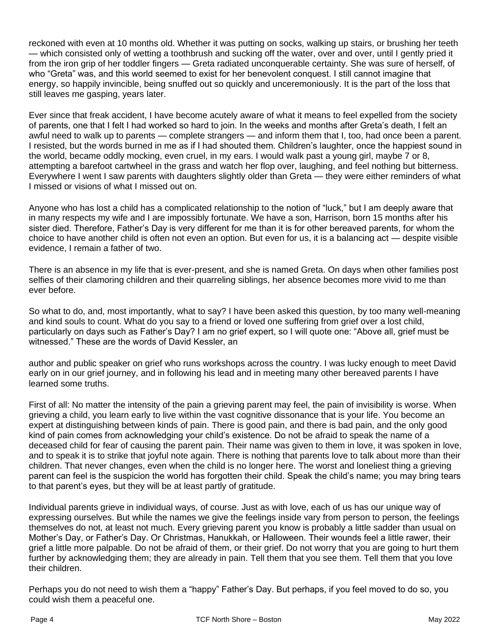reckoned with even at 10 months old. Whether it was putting on socks, walking up stairs, or brushing her teeth — which consisted only of wetting a toothbrush and sucking off the water, over and over, until I gently pried it from the iron grip of her toddler fingers — Greta radiated unconquerable certainty. She was sure of herself, of who "Greta" was, and this world seemed to exist for her benevolent conquest. I still cannot imagine that energy, so happily invincible, being snuffed out so quickly and unceremoniously. It is the part of the loss that still leaves me gasping, years later.

Ever since that freak accident, I have become acutely aware of what it means to feel expelled from the society of parents, one that I felt I had worked so hard to join. In the weeks and months after Greta's death, I felt an awful need to walk up to parents — complete strangers — and inform them that I, too, had once been a parent. I resisted, but the words burned in me as if I had shouted them. Children's laughter, once the happiest sound in the world, became oddly mocking, even cruel, in my ears. I would walk past a young girl, maybe 7 or 8, attempting a barefoot cartwheel in the grass and watch her flop over, laughing, and feel nothing but bitterness. Everywhere I went I saw parents with daughters slightly older than Greta — they were either reminders of what I missed or visions of what I missed out on.

Anyone who has lost a child has a complicated relationship to the notion of "luck," but I am deeply aware that in many respects my wife and I are impossibly fortunate. We have a son, Harrison, born 15 months after his sister died. Therefore, Father's Day is very different for me than it is for other bereaved parents, for whom the choice to have another child is often not even an option. But even for us, it is a balancing act — despite visible evidence, I remain a father of two.

There is an absence in my life that is ever-present, and she is named Greta. On days when other families post selfies of their clamoring children and their quarreling siblings, her absence becomes more vivid to me than ever before.

So what to do, and, most importantly, what to say? I have been asked this question, by too many well-meaning and kind souls to count. What do you say to a friend or loved one suffering from grief over a lost child, particularly on days such as Father's Day? I am no grief expert, so I will quote one: "Above all, grief must be witnessed." These are the words of David Kessler, an

author and public speaker on grief who runs workshops across the country. I was lucky enough to meet David early on in our grief journey, and in following his lead and in meeting many other bereaved parents I have learned some truths.

First of all: No matter the intensity of the pain a grieving parent may feel, the pain of invisibility is worse. When grieving a child, you learn early to live within the vast cognitive dissonance that is your life. You become an expert at distinguishing between kinds of pain. There is good pain, and there is bad pain, and the only good kind of pain comes from acknowledging your child's existence. Do not be afraid to speak the name of a deceased child for fear of causing the parent pain. Their name was given to them in love, it was spoken in love, and to speak it is to strike that joyful note again. There is nothing that parents love to talk about more than their children. That never changes, even when the child is no longer here. The worst and loneliest thing a grieving parent can feel is the suspicion the world has forgotten their child. Speak the child's name; you may bring tears to that parent's eyes, but they will be at least partly of gratitude.

Individual parents grieve in individual ways, of course. Just as with love, each of us has our unique way of expressing ourselves. But while the names we give the feelings inside vary from person to person, the feelings themselves do not, at least not much. Every grieving parent you know is probably a little sadder than usual on Mother's Day, or Father's Day. Or Christmas, Hanukkah, or Halloween. Their wounds feel a little rawer, their grief a little more palpable. Do not be afraid of them, or their grief. Do not worry that you are going to hurt them further by acknowledging them; they are already in pain. Tell them that you see them. Tell them that you love their children.

Perhaps you do not need to wish them a "happy" Father's Day. But perhaps, if you feel moved to do so, you could wish them a peaceful one.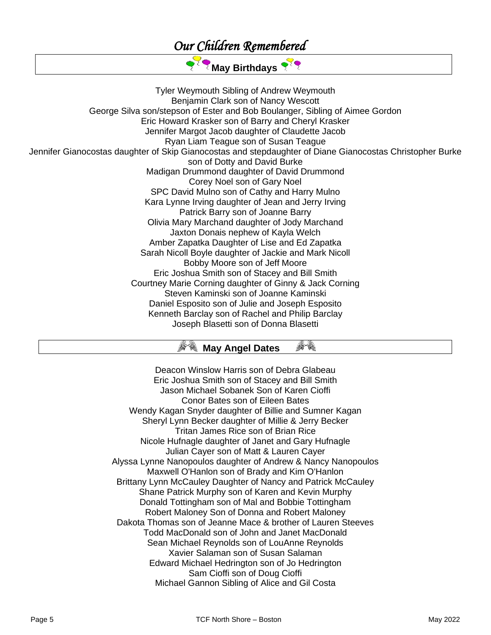## *Our Children Remembered*

**May Birthdays** 

Tyler Weymouth Sibling of Andrew Weymouth Benjamin Clark son of Nancy Wescott George Silva son/stepson of Ester and Bob Boulanger, Sibling of Aimee Gordon Eric Howard Krasker son of Barry and Cheryl Krasker Jennifer Margot Jacob daughter of Claudette Jacob Ryan Liam Teague son of Susan Teague Jennifer Gianocostas daughter of Skip Gianocostas and stepdaughter of Diane Gianocostas Christopher Burke son of Dotty and David Burke Madigan Drummond daughter of David Drummond Corey Noel son of Gary Noel SPC David Mulno son of Cathy and Harry Mulno Kara Lynne Irving daughter of Jean and Jerry Irving Patrick Barry son of Joanne Barry Olivia Mary Marchand daughter of Jody Marchand Jaxton Donais nephew of Kayla Welch Amber Zapatka Daughter of Lise and Ed Zapatka Sarah Nicoll Boyle daughter of Jackie and Mark Nicoll Bobby Moore son of Jeff Moore Eric Joshua Smith son of Stacey and Bill Smith Courtney Marie Corning daughter of Ginny & Jack Corning Steven Kaminski son of Joanne Kaminski Daniel Esposito son of Julie and Joseph Esposito Kenneth Barclay son of Rachel and Philip Barclay Joseph Blasetti son of Donna Blasetti

#### 新设 新读 **May Angel Dates**

Deacon Winslow Harris son of Debra Glabeau Eric Joshua Smith son of Stacey and Bill Smith Jason Michael Sobanek Son of Karen Cioffi Conor Bates son of Eileen Bates Wendy Kagan Snyder daughter of Billie and Sumner Kagan Sheryl Lynn Becker daughter of Millie & Jerry Becker Tritan James Rice son of Brian Rice Nicole Hufnagle daughter of Janet and Gary Hufnagle Julian Cayer son of Matt & Lauren Cayer Alyssa Lynne Nanopoulos daughter of Andrew & Nancy Nanopoulos Maxwell O'Hanlon son of Brady and Kim O'Hanlon Brittany Lynn McCauley Daughter of Nancy and Patrick McCauley Shane Patrick Murphy son of Karen and Kevin Murphy Donald Tottingham son of Mal and Bobbie Tottingham Robert Maloney Son of Donna and Robert Maloney Dakota Thomas son of Jeanne Mace & brother of Lauren Steeves Todd MacDonald son of John and Janet MacDonald Sean Michael Reynolds son of LouAnne Reynolds Xavier Salaman son of Susan Salaman Edward Michael Hedrington son of Jo Hedrington Sam Cioffi son of Doug Cioffi Michael Gannon Sibling of Alice and Gil Costa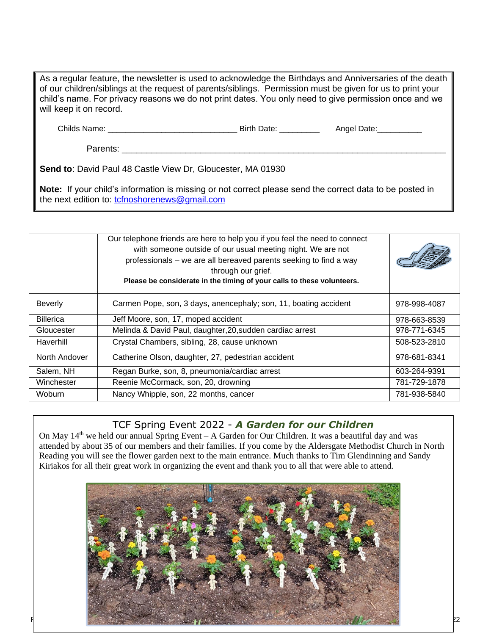As a regular feature, the newsletter is used to acknowledge the Birthdays and Anniversaries of the death of our children/siblings at the request of parents/siblings. Permission must be given for us to print your child's name. For privacy reasons we do not print dates. You only need to give permission once and we will keep it on record.

Childs Name: \_\_\_\_\_\_\_\_\_\_\_\_\_\_\_\_\_\_\_\_\_\_\_\_\_\_\_\_\_ Birth Date: \_\_\_\_\_\_\_\_\_ Angel Date:\_\_\_\_\_\_\_\_\_\_

Parents:

**Send to**: David Paul 48 Castle View Dr, Gloucester, MA 01930

**Note:** If your child's information is missing or not correct please send the correct data to be posted in the next edition to: [tcfnoshorenews@gmail.com](mailto:tcfnoshorenews@gmail.com)

|                  | Our telephone friends are here to help you if you feel the need to connect<br>with someone outside of our usual meeting night. We are not<br>professionals – we are all bereaved parents seeking to find a way<br>through our grief.<br>Please be considerate in the timing of your calls to these volunteers. |              |
|------------------|----------------------------------------------------------------------------------------------------------------------------------------------------------------------------------------------------------------------------------------------------------------------------------------------------------------|--------------|
| <b>Beverly</b>   | Carmen Pope, son, 3 days, anencephaly; son, 11, boating accident                                                                                                                                                                                                                                               | 978-998-4087 |
| <b>Billerica</b> | Jeff Moore, son, 17, moped accident                                                                                                                                                                                                                                                                            | 978-663-8539 |
| Gloucester       | Melinda & David Paul, daughter, 20, sudden cardiac arrest                                                                                                                                                                                                                                                      | 978-771-6345 |
| Haverhill        | Crystal Chambers, sibling, 28, cause unknown                                                                                                                                                                                                                                                                   | 508-523-2810 |
| North Andover    | Catherine Olson, daughter, 27, pedestrian accident                                                                                                                                                                                                                                                             | 978-681-8341 |
| Salem, NH        | Regan Burke, son, 8, pneumonia/cardiac arrest                                                                                                                                                                                                                                                                  | 603-264-9391 |
| Winchester       | Reenie McCormack, son, 20, drowning                                                                                                                                                                                                                                                                            | 781-729-1878 |
| Woburn           | Nancy Whipple, son, 22 months, cancer                                                                                                                                                                                                                                                                          | 781-938-5840 |

## TCF Spring Event 2022 - *A Garden for our Children*

On May  $14<sup>th</sup>$  we held our annual Spring Event – A Garden for Our Children. It was a beautiful day and was attended by about 35 of our members and their families. If you come by the Aldersgate Methodist Church in North Reading you will see the flower garden next to the main entrance. Much thanks to Tim Glendinning and Sandy Kiriakos for all their great work in organizing the event and thank you to all that were able to attend.

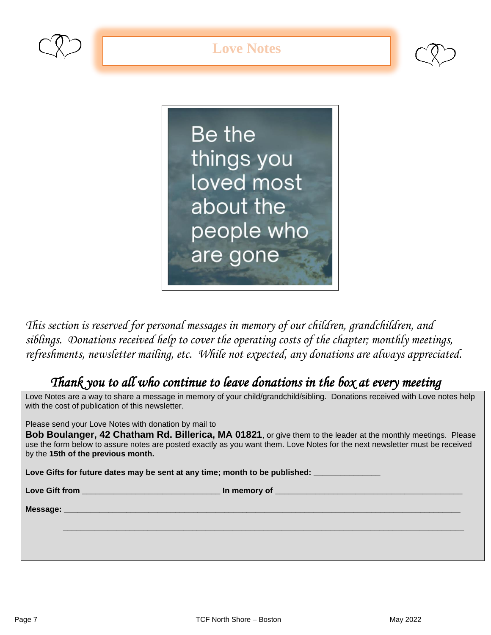

## **Love Notes**





*This section is reserved for personal messages in memory of our children, grandchildren, and siblings. Donations received help to cover the operating costs of the chapter; monthly meetings, refreshments, newsletter mailing, etc. While not expected, any donations are always appreciated.*

## *Thank you to all who continue to leave donations in the box at every meeting*

Love Notes are a way to share a message in memory of your child/grandchild/sibling. Donations received with Love notes help with the cost of publication of this newsletter.

Please send your Love Notes with donation by mail to

**Bob Boulanger, 42 Chatham Rd. Billerica, MA 01821**, or give them to the leader at the monthly meetings. Please use the form below to assure notes are posted exactly as you want them. Love Notes for the next newsletter must be received by the **15th of the previous month.** 

Love Gifts for future dates may be sent at any time; month to be published: **we are not** 

**Love Gift from \_\_\_\_\_\_\_\_\_\_\_\_\_\_\_\_\_\_\_\_\_\_\_\_\_\_\_\_\_\_\_ In memory of \_\_\_\_\_\_\_\_\_\_\_\_\_\_\_\_\_\_\_\_\_\_\_\_\_\_\_\_\_\_\_\_\_\_\_\_\_\_\_\_\_\_**

 **\_\_\_\_\_\_\_\_\_\_\_\_\_\_\_\_\_\_\_\_\_\_\_\_\_\_\_\_\_\_\_\_\_\_\_\_\_\_\_\_\_\_\_\_\_\_\_\_\_\_\_\_\_\_\_\_\_\_\_\_\_\_\_\_\_\_\_\_\_\_\_\_\_\_\_\_\_\_\_\_\_\_\_\_\_\_\_\_\_\_**

**Message: \_\_\_\_\_\_\_\_\_\_\_\_\_\_\_\_\_\_\_\_\_\_\_\_\_\_\_\_\_\_\_\_\_\_\_\_\_\_\_\_\_\_\_\_\_\_\_\_\_\_\_\_\_\_\_\_\_\_\_\_\_\_\_\_\_\_\_\_\_\_\_\_\_\_\_\_\_\_\_\_\_\_\_\_\_\_\_\_\_**